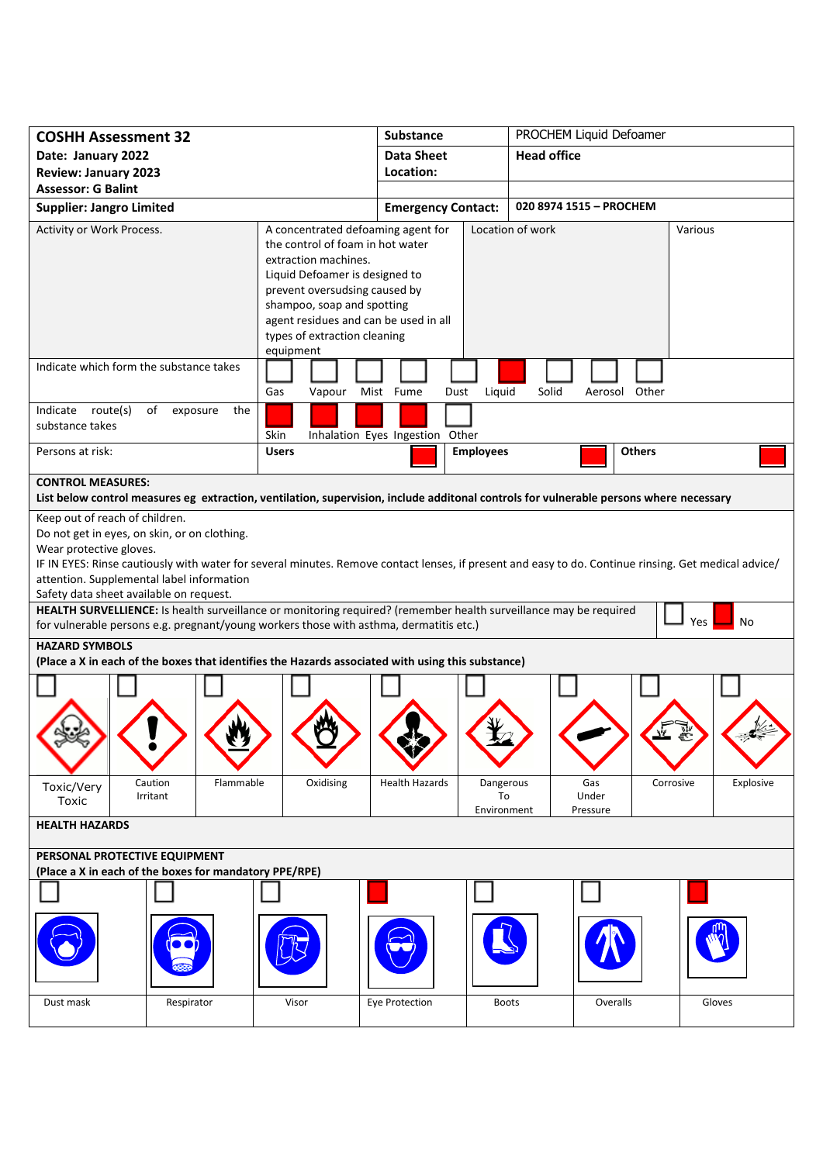| <b>COSHH Assessment 32</b>                                                                                                                                         |                                                                                                                                                                                                        | <b>Substance</b>                                                            | PROCHEM Liquid Defoamer                                                                                                                              |  |
|--------------------------------------------------------------------------------------------------------------------------------------------------------------------|--------------------------------------------------------------------------------------------------------------------------------------------------------------------------------------------------------|-----------------------------------------------------------------------------|------------------------------------------------------------------------------------------------------------------------------------------------------|--|
| Date: January 2022                                                                                                                                                 |                                                                                                                                                                                                        | <b>Data Sheet</b>                                                           | <b>Head office</b>                                                                                                                                   |  |
| <b>Review: January 2023</b>                                                                                                                                        |                                                                                                                                                                                                        | Location:                                                                   |                                                                                                                                                      |  |
| <b>Assessor: G Balint</b>                                                                                                                                          |                                                                                                                                                                                                        |                                                                             |                                                                                                                                                      |  |
| <b>Supplier: Jangro Limited</b>                                                                                                                                    |                                                                                                                                                                                                        | <b>Emergency Contact:</b>                                                   | 020 8974 1515 - PROCHEM                                                                                                                              |  |
| Activity or Work Process.                                                                                                                                          | the control of foam in hot water<br>extraction machines.<br>Liquid Defoamer is designed to<br>prevent oversudsing caused by<br>shampoo, soap and spotting<br>types of extraction cleaning<br>equipment | A concentrated defoaming agent for<br>agent residues and can be used in all | Location of work<br>Various                                                                                                                          |  |
| Indicate which form the substance takes                                                                                                                            | Gas                                                                                                                                                                                                    | Vapour Mist Fume<br>Dust                                                    | Liquid<br>Solid<br>Aerosol Other                                                                                                                     |  |
| Indicate route(s)<br>of<br>the<br>exposure<br>substance takes<br>Skin<br>Inhalation Eyes Ingestion Other                                                           |                                                                                                                                                                                                        |                                                                             |                                                                                                                                                      |  |
| Persons at risk:                                                                                                                                                   | <b>Users</b>                                                                                                                                                                                           | <b>Employees</b>                                                            | <b>Others</b>                                                                                                                                        |  |
| <b>CONTROL MEASURES:</b><br>List below control measures eg extraction, ventilation, supervision, include additonal controls for vulnerable persons where necessary |                                                                                                                                                                                                        |                                                                             |                                                                                                                                                      |  |
| Keep out of reach of children.                                                                                                                                     |                                                                                                                                                                                                        |                                                                             |                                                                                                                                                      |  |
| Do not get in eyes, on skin, or on clothing.                                                                                                                       |                                                                                                                                                                                                        |                                                                             |                                                                                                                                                      |  |
| Wear protective gloves.                                                                                                                                            |                                                                                                                                                                                                        |                                                                             |                                                                                                                                                      |  |
|                                                                                                                                                                    |                                                                                                                                                                                                        |                                                                             | IF IN EYES: Rinse cautiously with water for several minutes. Remove contact lenses, if present and easy to do. Continue rinsing. Get medical advice/ |  |
| attention. Supplemental label information                                                                                                                          |                                                                                                                                                                                                        |                                                                             |                                                                                                                                                      |  |
| Safety data sheet available on request.<br>HEALTH SURVELLIENCE: Is health surveillance or monitoring required? (remember health surveillance may be required       |                                                                                                                                                                                                        |                                                                             |                                                                                                                                                      |  |
| Yes<br>No<br>for vulnerable persons e.g. pregnant/young workers those with asthma, dermatitis etc.)                                                                |                                                                                                                                                                                                        |                                                                             |                                                                                                                                                      |  |
| <b>HAZARD SYMBOLS</b>                                                                                                                                              |                                                                                                                                                                                                        |                                                                             |                                                                                                                                                      |  |
| (Place a X in each of the boxes that identifies the Hazards associated with using this substance)                                                                  |                                                                                                                                                                                                        |                                                                             |                                                                                                                                                      |  |
|                                                                                                                                                                    |                                                                                                                                                                                                        |                                                                             |                                                                                                                                                      |  |
|                                                                                                                                                                    |                                                                                                                                                                                                        |                                                                             |                                                                                                                                                      |  |
|                                                                                                                                                                    |                                                                                                                                                                                                        |                                                                             |                                                                                                                                                      |  |
| Caution<br>Toxic/Very<br>Irritant<br>Toxic                                                                                                                         | Oxidising<br>Flammable                                                                                                                                                                                 | <b>Health Hazards</b>                                                       | Dangerous<br>Gas<br>Corrosive<br>Explosive<br>To<br>Under<br>Environment<br>Pressure                                                                 |  |
| <b>HEALTH HAZARDS</b>                                                                                                                                              |                                                                                                                                                                                                        |                                                                             |                                                                                                                                                      |  |
| PERSONAL PROTECTIVE EQUIPMENT<br>(Place a X in each of the boxes for mandatory PPE/RPE)                                                                            |                                                                                                                                                                                                        |                                                                             |                                                                                                                                                      |  |
|                                                                                                                                                                    |                                                                                                                                                                                                        |                                                                             |                                                                                                                                                      |  |
|                                                                                                                                                                    |                                                                                                                                                                                                        |                                                                             |                                                                                                                                                      |  |
| Respirator<br>Dust mask                                                                                                                                            | Visor                                                                                                                                                                                                  | Eye Protection                                                              | Overalls<br>Gloves<br><b>Boots</b>                                                                                                                   |  |